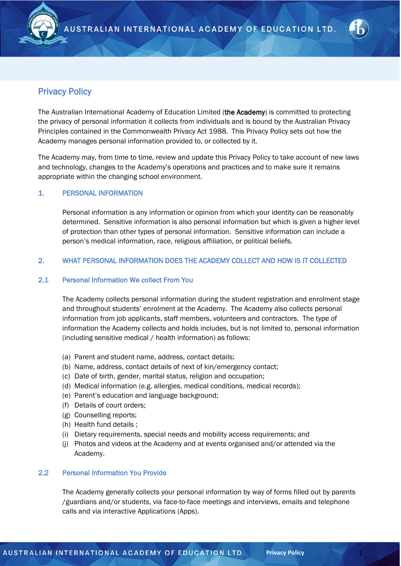

# Privacy Policy

The Australian International Academy of Education Limited (the Academy) is committed to protecting the privacy of personal information it collects from individuals and is bound by the Australian Privacy Principles contained in the Commonwealth Privacy Act 1988. This Privacy Policy sets out how the Academy manages personal information provided to, or collected by it.

The Academy may, from time to time, review and update this Privacy Policy to take account of new laws and technology, changes to the Academy's operations and practices and to make sure it remains appropriate within the changing school environment.

# 1. PERSONAL INFORMATION

Personal information is any information or opinion from which your identity can be reasonably determined. Sensitive information is also personal information but which is given a higher level of protection than other types of personal information. Sensitive information can include a person's medical information, race, religious affiliation, or political beliefs.

# 2. WHAT PERSONAL INFORMATION DOES THE ACADEMY COLLECT AND HOW IS IT COLLECTED

## 2.1 Personal Information We collect From You

The Academy collects personal information during the student registration and enrolment stage and throughout students' enrolment at the Academy. The Academy also collects personal information from job applicants, staff members, volunteers and contractors. The type of information the Academy collects and holds includes, but is not limited to, personal information (including sensitive medical / health information) as follows:

- (a) Parent and student name, address, contact details;
- (b) Name, address, contact details of next of kin/emergency contact;
- (c) Date of birth, gender, marital status, religion and occupation;
- (d) Medical information (e.g. allergies, medical conditions, medical records);
- (e) Parent's education and language background;
- (f) Details of court orders;
- (g) Counselling reports;
- (h) Health fund details ;
- (i) Dietary requirements, special needs and mobility access requirements; and
- (j) Photos and videos at the Academy and at events organised and/or attended via the Academy.

### 2.2 Personal Information You Provide

The Academy generally collects your personal information by way of forms filled out by parents /guardians and/or students, via face-to-face meetings and interviews, emails and telephone calls and via interactive Applications (Apps).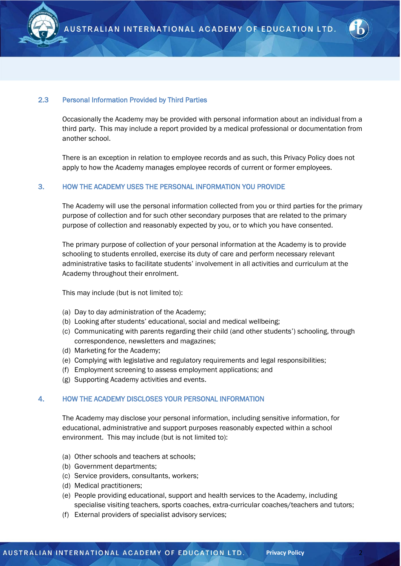



### 2.3 Personal Information Provided by Third Parties

Occasionally the Academy may be provided with personal information about an individual from a third party. This may include a report provided by a medical professional or documentation from another school.

There is an exception in relation to employee records and as such, this Privacy Policy does not apply to how the Academy manages employee records of current or former employees.

### 3. HOW THE ACADEMY USES THE PERSONAL INFORMATION YOU PROVIDE

The Academy will use the personal information collected from you or third parties for the primary purpose of collection and for such other secondary purposes that are related to the primary purpose of collection and reasonably expected by you, or to which you have consented.

The primary purpose of collection of your personal information at the Academy is to provide schooling to students enrolled, exercise its duty of care and perform necessary relevant administrative tasks to facilitate students' involvement in all activities and curriculum at the Academy throughout their enrolment.

This may include (but is not limited to):

- (a) Day to day administration of the Academy;
- (b) Looking after students' educational, social and medical wellbeing;
- (c) Communicating with parents regarding their child (and other students') schooling, through correspondence, newsletters and magazines;
- (d) Marketing for the Academy;
- (e) Complying with legislative and regulatory requirements and legal responsibilities;
- (f) Employment screening to assess employment applications; and
- (g) Supporting Academy activities and events.

#### 4. HOW THE ACADEMY DISCLOSES YOUR PERSONAL INFORMATION

The Academy may disclose your personal information, including sensitive information, for educational, administrative and support purposes reasonably expected within a school environment. This may include (but is not limited to):

- (a) Other schools and teachers at schools;
- (b) Government departments;
- (c) Service providers, consultants, workers;
- (d) Medical practitioners;
- (e) People providing educational, support and health services to the Academy, including specialise visiting teachers, sports coaches, extra-curricular coaches/teachers and tutors;
- (f) External providers of specialist advisory services;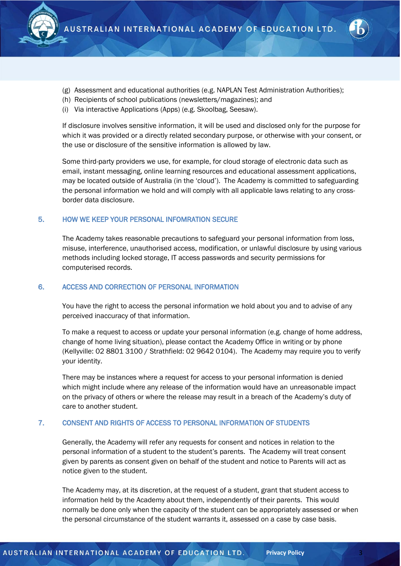



- (g) Assessment and educational authorities (e.g. NAPLAN Test Administration Authorities);
- (h) Recipients of school publications (newsletters/magazines); and
- (i) Via interactive Applications (Apps) (e.g. Skoolbag, Seesaw).

If disclosure involves sensitive information, it will be used and disclosed only for the purpose for which it was provided or a directly related secondary purpose, or otherwise with your consent, or the use or disclosure of the sensitive information is allowed by law.

Some third-party providers we use, for example, for cloud storage of electronic data such as email, instant messaging, online learning resources and educational assessment applications, may be located outside of Australia (in the 'cloud'). The Academy is committed to safeguarding the personal information we hold and will comply with all applicable laws relating to any crossborder data disclosure.

#### 5. HOW WE KEEP YOUR PERSONAL INFOMRATION SECURE

The Academy takes reasonable precautions to safeguard your personal information from loss, misuse, interference, unauthorised access, modification, or unlawful disclosure by using various methods including locked storage, IT access passwords and security permissions for computerised records.

#### 6. ACCESS AND CORRECTION OF PERSONAL INFORMATION

You have the right to access the personal information we hold about you and to advise of any perceived inaccuracy of that information.

To make a request to access or update your personal information (e.g. change of home address, change of home living situation), please contact the Academy Office in writing or by phone (Kellyville: 02 8801 3100 / Strathfield: 02 9642 0104). The Academy may require you to verify your identity.

There may be instances where a request for access to your personal information is denied which might include where any release of the information would have an unreasonable impact on the privacy of others or where the release may result in a breach of the Academy's duty of care to another student.

## 7. CONSENT AND RIGHTS OF ACCESS TO PERSONAL INFORMATION OF STUDENTS

Generally, the Academy will refer any requests for consent and notices in relation to the personal information of a student to the student's parents. The Academy will treat consent given by parents as consent given on behalf of the student and notice to Parents will act as notice given to the student.

The Academy may, at its discretion, at the request of a student, grant that student access to information held by the Academy about them, independently of their parents. This would normally be done only when the capacity of the student can be appropriately assessed or when the personal circumstance of the student warrants it, assessed on a case by case basis.